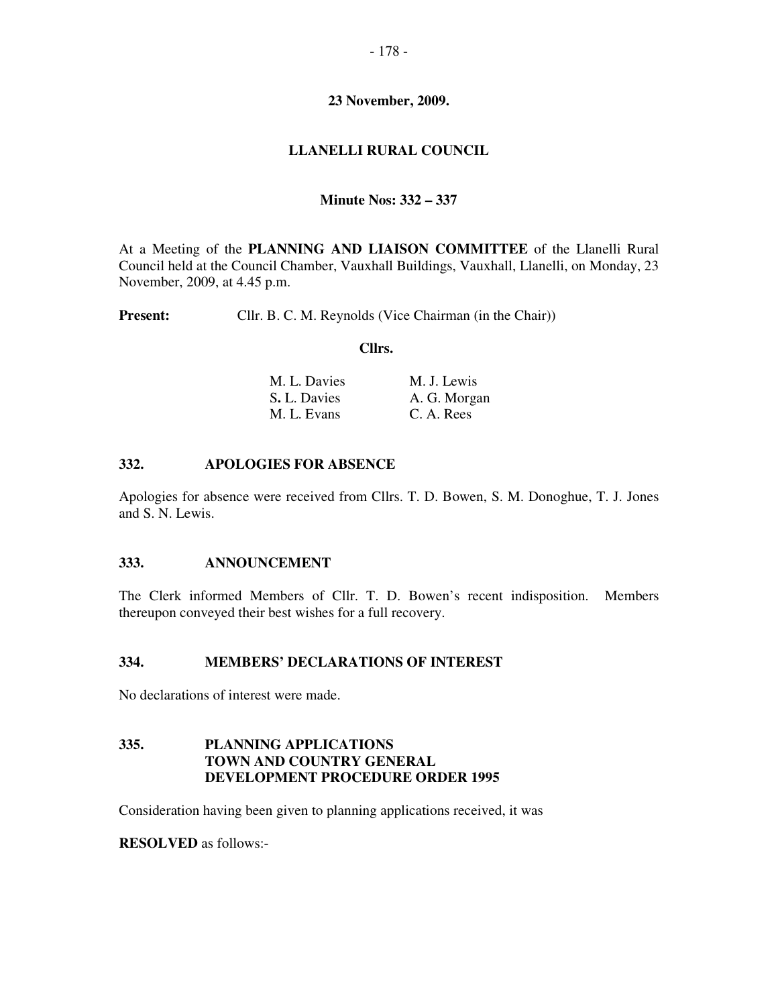# **23 November, 2009.**

# **LLANELLI RURAL COUNCIL**

## **Minute Nos: 332 – 337**

At a Meeting of the **PLANNING AND LIAISON COMMITTEE** of the Llanelli Rural Council held at the Council Chamber, Vauxhall Buildings, Vauxhall, Llanelli, on Monday, 23 November, 2009, at 4.45 p.m.

**Present:** Cllr. B. C. M. Reynolds (Vice Chairman (in the Chair))

#### **Cllrs.**

| M. L. Davies | M. J. Lewis  |
|--------------|--------------|
| S. L. Davies | A. G. Morgan |
| M. L. Evans  | C. A. Rees   |

## **332. APOLOGIES FOR ABSENCE**

Apologies for absence were received from Cllrs. T. D. Bowen, S. M. Donoghue, T. J. Jones and S. N. Lewis.

## **333. ANNOUNCEMENT**

The Clerk informed Members of Cllr. T. D. Bowen's recent indisposition. Members thereupon conveyed their best wishes for a full recovery.

#### **334. MEMBERS' DECLARATIONS OF INTEREST**

No declarations of interest were made.

#### **335. PLANNING APPLICATIONS TOWN AND COUNTRY GENERAL DEVELOPMENT PROCEDURE ORDER 1995**

Consideration having been given to planning applications received, it was

**RESOLVED** as follows:-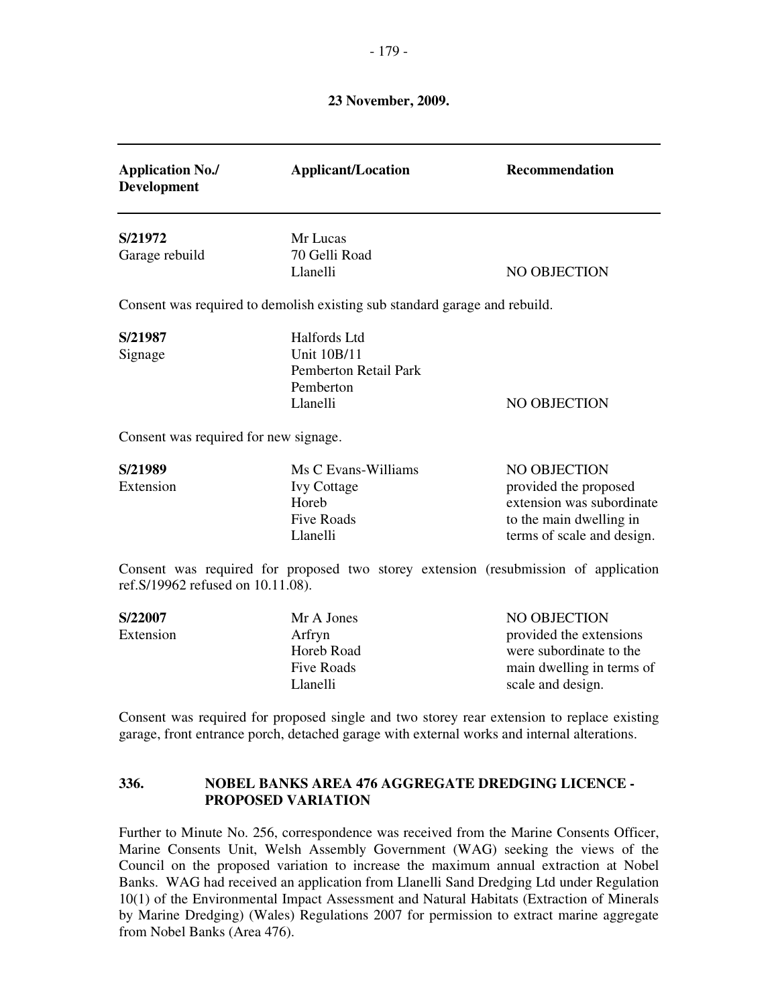# **23 November, 2009.**

| <b>Application No./</b><br><b>Development</b>                                                                                                                                             | <b>Applicant/Location</b>                                                                                                                                                  | <b>Recommendation</b>                                                                                                       |  |
|-------------------------------------------------------------------------------------------------------------------------------------------------------------------------------------------|----------------------------------------------------------------------------------------------------------------------------------------------------------------------------|-----------------------------------------------------------------------------------------------------------------------------|--|
| S/21972<br>Garage rebuild                                                                                                                                                                 | Mr Lucas<br>70 Gelli Road<br>Llanelli                                                                                                                                      | NO OBJECTION                                                                                                                |  |
|                                                                                                                                                                                           | Consent was required to demolish existing sub standard garage and rebuild.                                                                                                 |                                                                                                                             |  |
| S/21987<br>Signage                                                                                                                                                                        | Halfords Ltd<br><b>Unit 10B/11</b><br>Pemberton Retail Park<br>Pemberton<br>Llanelli                                                                                       | NO OBJECTION                                                                                                                |  |
| Consent was required for new signage.                                                                                                                                                     |                                                                                                                                                                            |                                                                                                                             |  |
| S/21989<br>Extension                                                                                                                                                                      | Ms C Evans-Williams<br><b>Ivy Cottage</b><br>Horeb<br>Five Roads<br>Llanelli                                                                                               | NO OBJECTION<br>provided the proposed<br>extension was subordinate<br>to the main dwelling in<br>terms of scale and design. |  |
| Consent was required for proposed two storey extension (resubmission of application<br>ref.S/19962 refused on 10.11.08).                                                                  |                                                                                                                                                                            |                                                                                                                             |  |
| S/22007<br>Extension                                                                                                                                                                      | Mr A Jones<br>Arfryn<br>Horeb Road<br>Five Roads<br>Llanelli                                                                                                               | NO OBJECTION<br>provided the extensions<br>were subordinate to the<br>main dwelling in terms of<br>scale and design.        |  |
| Consent was required for proposed single and two storey rear extension to replace existing<br>garage, front entrance porch, detached garage with external works and internal alterations. |                                                                                                                                                                            |                                                                                                                             |  |
| 336.                                                                                                                                                                                      | NOBEL BANKS AREA 476 AGGREGATE DREDGING LICENCE -<br><b>PROPOSED VARIATION</b>                                                                                             |                                                                                                                             |  |
|                                                                                                                                                                                           | Further to Minute No. 256, correspondence was received from the Marine Consents Officer,<br>Marine Consents Unit, Welsh Assembly Government (WAG) seeking the views of the |                                                                                                                             |  |

Marine Consents Unit, Welsh Assembly Government (WAG) seeking the views of the Council on the proposed variation to increase the maximum annual extraction at Nobel Banks. WAG had received an application from Llanelli Sand Dredging Ltd under Regulation 10(1) of the Environmental Impact Assessment and Natural Habitats (Extraction of Minerals by Marine Dredging) (Wales) Regulations 2007 for permission to extract marine aggregate from Nobel Banks (Area 476).